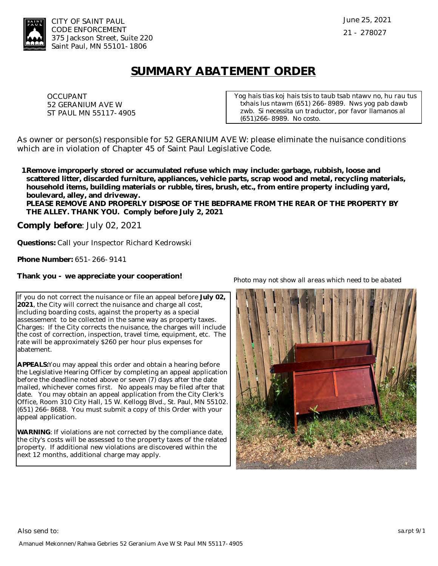

## **SUMMARY ABATEMENT ORDER**

OCCUPANT 52 GERANIUM AVE W ST PAUL MN 55117-4905 *Yog hais tias koj hais tsis to taub tsab ntawv no, hu rau tus txhais lus ntawm (651) 266-8989. Nws yog pab dawb zwb. Si necessita un traductor, por favor llamanos al (651)266-8989. No costo.*

As owner or person(s) responsible for 52 GERANIUM AVE W: please eliminate the nuisance conditions which are in violation of Chapter 45 of Saint Paul Legislative Code.

**Remove improperly stored or accumulated refuse which may include: garbage, rubbish, loose and 1.scattered litter, discarded furniture, appliances, vehicle parts, scrap wood and metal, recycling materials, household items, building materials or rubble, tires, brush, etc., from entire property including yard, boulevard, alley, and driveway.** 

**PLEASE REMOVE AND PROPERLY DISPOSE OF THE BEDFRAME FROM THE REAR OF THE PROPERTY BY THE ALLEY. THANK YOU. Comply before July 2, 2021**

**Comply before**: July 02, 2021

**Questions:** Call your Inspector Richard Kedrowski

**Phone Number:** 651-266-9141

**Thank you - we appreciate your cooperation!**

If you do not correct the nuisance or file an appeal before **July 02, 2021**, the City will correct the nuisance and charge all cost, including boarding costs, against the property as a special assessement to be collected in the same way as property taxes. Charges: If the City corrects the nuisance, the charges will include the cost of correction, inspection, travel time, equipment, etc. The rate will be approximately \$260 per hour plus expenses for abatement.

**APPEALS:**You may appeal this order and obtain a hearing before the Legislative Hearing Officer by completing an appeal application before the deadline noted above or seven (7) days after the date mailed, whichever comes first. No appeals may be filed after that date. You may obtain an appeal application from the City Clerk's Office, Room 310 City Hall, 15 W. Kellogg Blvd., St. Paul, MN 55102. (651) 266-8688. You must submit a copy of this Order with your appeal application.

**WARNING**: If violations are not corrected by the compliance date, the city's costs will be assessed to the property taxes of the related property. If additional new violations are discovered within the next 12 months, additional charge may apply.

*Photo may not show all areas which need to be abated*